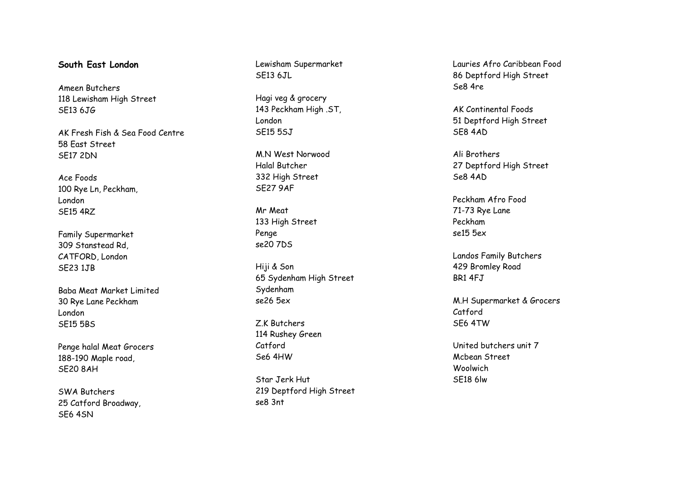## **South East London**

Ameen Butchers 118 Lewisham High Street SE13 6JG

AK Fresh Fish & Sea Food Centre 58 East Street SE17 2DN

Ace Foods 100 Rye Ln, Peckham, London SE15 4RZ

Family Supermarket 309 Stanstead Rd, CATFORD, London SE23 1JB

Baba Meat Market Limited 30 Rye Lane Peckham London SE15 5BS

Penge halal Meat Grocers 188 -190 Maple road, SE20 8AH

SWA Butchers 25 Catford Broadway, SE6 4SN

Lewisham Supermarket SF<sub>13</sub> 6JL

Hagi veg & grocery 143 Peckham High .ST, London SE15 5SJ

M.N West Norwood Halal Butcher 332 High Street SE27 9AF

Mr Meat 133 High Street Penge se20 7DS

Hiji & Son 65 Sydenham High Street Sydenham se26 5ex

Z.K Butchers 114 Rushey Green Catford Se6 4HW

Star Jerk Hut 219 Deptford High Street se8 3nt

Lauries Afro Caribbean Food 86 Deptford High Street Se8 4re

AK Continental Foods 51 Deptford High Street SE8 4AD

Ali Brothers 27 Deptford High Street Se8 4AD

Peckham Afro Food 71 -73 Rye Lane Peckham se15 5ex

Landos Family Butchers 429 Bromley Road BR1 4FJ

M.H Supermarket & Grocers Catford SE6 4TW

United butchers unit 7 Mcbean Street Woolwich SE18 6lw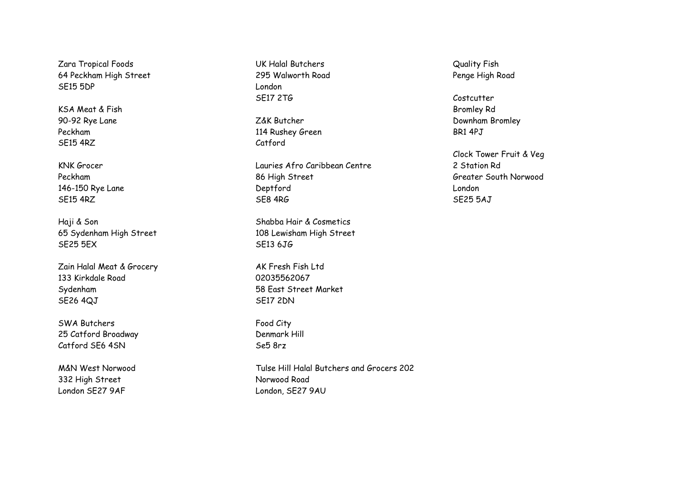Zara Tropical Foods 64 Peckham High Street SE15 5DP

KSA Meat & Fish 90-92 Rye Lane Peckham SE15 4RZ

KNK Grocer Peckham 146-150 Rye Lane SE15 4RZ

Haji & Son 65 Sydenham High Street SE25 5EX

Zain Halal Meat & Grocery 133 Kirkdale Road Sydenham SE26 4QJ

SWA Butchers 25 Catford Broadway Catford SE6 4SN

M&N West Norwood 332 High Street London SE27 9AF

UK Halal Butchers 295 Walworth Road London SE17 2TG

Z&K Butcher 114 Rushey Green Catford

Lauries Afro Caribbean Centre 86 High Street Deptford SE8 4RG

Shabba Hair & Cosmetics 108 Lewisham High Street SE13 6JG

AK Fresh Fish Ltd 02035562067 58 East Street Market SE17 2DN

Food City Denmark Hill Se5 8rz

Tulse Hill Halal Butchers and Grocers 202 Norwood Road London, SE27 9AU

Quality Fish Penge High Road

Costcutter Bromley Rd Downham Bromley BR1 4PJ

Clock Tower Fruit & Veg 2 Station Rd Greater South Norwood London SE25 5AJ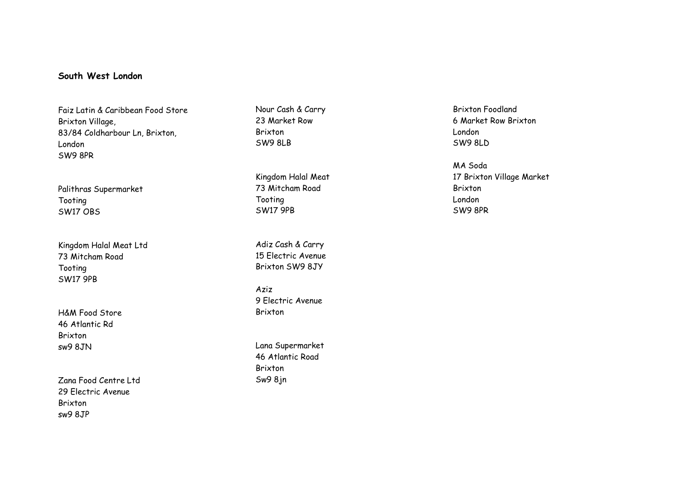# **South West London**

Faiz Latin & Caribbean Food Store Brixton Village, 83/84 Coldharbour Ln, Brixton, London SW9 8PR

Palithras Supermarket Tooting SW17 OBS

Kingdom Halal Meat Ltd 73 Mitcham Road Tooting SW17 9PB

H&M Food Store 46 Atlantic Rd Brixton sw9 8JN

Zana Food Centre Ltd 29 Electric Avenue Brixton sw9 8JP

Nour Cash & Carry 23 Market Row Brixton SW9 8LB

Kingdom Halal Meat 73 Mitcham Road Tooting SW17 9PB

Adiz Cash & Carry 15 Electric Avenue Brixton SW9 8JY

Aziz 9 Electric Avenue Brixton

Lana Supermarket 46 Atlantic Road Brixton Sw9 8jn

Brixton Foodland 6 Market Row Brixton London SW9 8LD

MA Soda 17 Brixton Village Market Brixton London SW9 8PR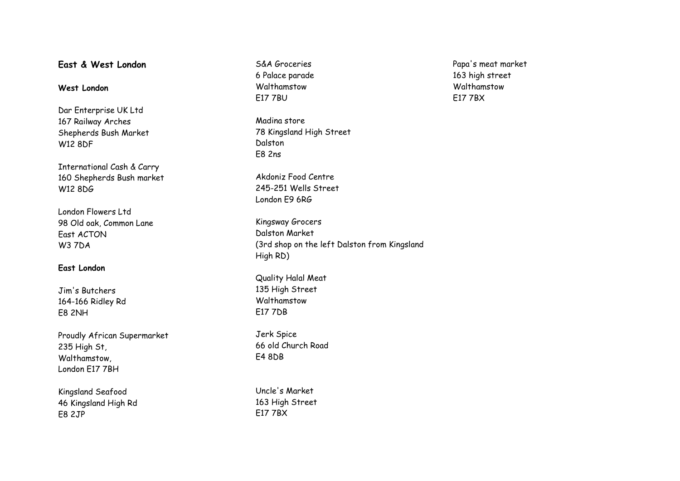# **East & West London**

## **West London**

Dar Enterprise UK Ltd 167 Railway Arches Shepherds Bush Market W12 8DF

International Cash & Carry 160 Shepherds Bush market W12 8DG

London Flowers Ltd 98 Old oak, Common Lane East ACTON W3 7DA

#### **East London**

Jim's Butchers 164-166 Ridley Rd E8 2NH

Proudly African Supermarket 235 High St, Walthamstow, London E17 7BH

Kingsland Seafood 46 Kingsland High Rd E8 2JP

S&A Groceries 6 Palace parade Walthamstow E17 7BU

Madina store 78 Kingsland High Street Dalston E8 2ns

Akdoniz Food Centre 245-251 Wells Street London E9 6RG

Kingsway Grocers Dalston Market (3rd shop on the left Dalston from Kingsland High RD)

Quality Halal Meat 135 High Street Walthamstow E17 7DB

Jerk Spice 66 old Church Road E4 8DB

Uncle's Market 163 High Street E17 7BX

Papa's meat market 163 high street Walthamstow E17 7BX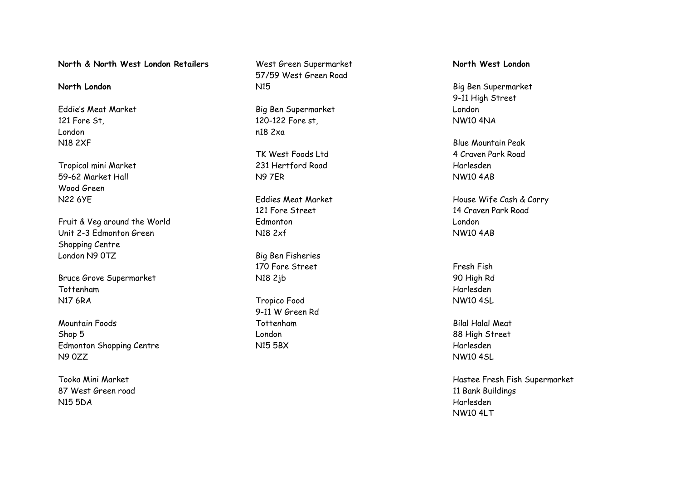**North & North West London Retailers**

### **North London**

Eddie's Meat Market 121 Fore St, London N18 2XF

Tropical mini Market 59-62 Market Hall Wood Green N22 6YE

Fruit & Veg around the World Unit 2-3 Edmonton Green Shopping Centre London N9 0TZ

Bruce Grove Supermarket Tottenham N17 6RA

Mountain Foods Shop 5 Edmonton Shopping Centre N9 0ZZ

Tooka Mini Market 87 West Green road N15 5DA

West Green Supermarket 57/59 West Green Road N15

Big Ben Supermarket 120-122 Fore st, n18 2xa

TK West Foods Ltd 231 Hertford Road N9 7ER

Eddies Meat Market 121 Fore Street Edmonton N18 2xf

Big Ben Fisheries 170 Fore Street N18 2jb

Tropico Food 9-11 W Green Rd Tottenham London N15 5BX

**North West London**

Big Ben Supermarket 9-11 High Street London NW10 4NA

Blue Mountain Peak 4 Craven Park Road Harlesden NW10 4AB

House Wife Cash & Carry 14 Craven Park Road London NW10 4AB

Fresh Fish 90 High Rd Harlesden NW10 4SL

Bilal Halal Meat 88 High Street Harlesden NW10 4SL

Hastee Fresh Fish Supermarket 11 Bank Buildings Harlesden NW10 4LT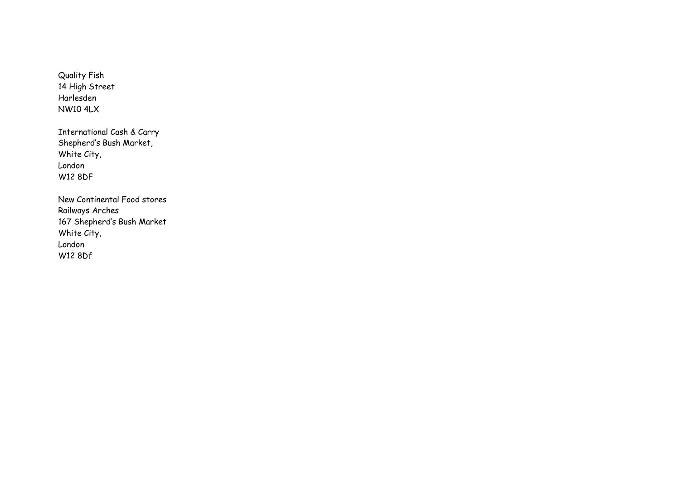Quality Fish 14 High Street Harlesden NW10 4LX

International Cash & Carry Shepherd's Bush Market, White City, London W12 8DF

New Continental Food stores Railways Arches 167 Shepherd's Bush Market White City, London W12 8Df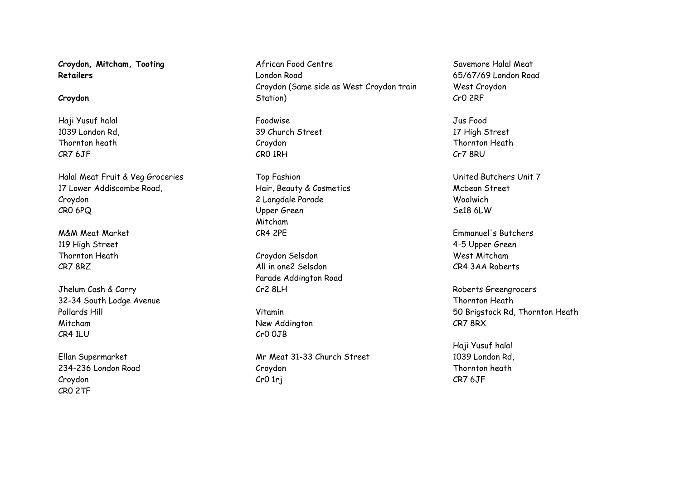**Croydon, Mitcham, Tooting Retailers**

### **Croydon**

Haji Yusuf halal 1039 London Rd, Thornton heath CR7 6JF

Halal Meat Fruit & Veg Groceries 17 Lower Addiscombe Road, Croydon CR0 6PQ

M&M Meat Market 119 High Street Thornton Heath CR7 8RZ

Jhelum Cash & Carry 32-34 South Lodge Avenue Pollards Hill Mitcham CR4 1LU

Ellan Supermarket 234-236 London Road Croydon CR0 2TF

African Food Centre London Road Croydon (Same side as West Croydon train Station)

Foodwise 39 Church Street Croydon CR0 1RH

Top Fashion Hair, Beauty & Cosmetics 2 Longdale Parade Upper Green Mitcham CR4 2PE

Croydon Selsdon All in one2 Selsdon Parade Addington Road Cr2 8LH

Vitamin New Addington Cr0 0JB

Mr Meat 31-33 Church Street Croydon Cr0 1rj

Savemore Halal Meat 65/67/69 London Road West Croydon Cr0 2RF

Jus Food 17 High Street Thornton Heath Cr7 8RU

United Butchers Unit 7 Mcbean Street Woolwich Se18 6LW

Emmanuel's Butchers 4-5 Upper Green West Mitcham CR4 3AA Roberts

Roberts Greengrocers Thornton Heath 50 Brigstock Rd, Thornton Heath CR7 8RX

Haji Yusuf halal 1039 London Rd, Thornton heath CR7 6JF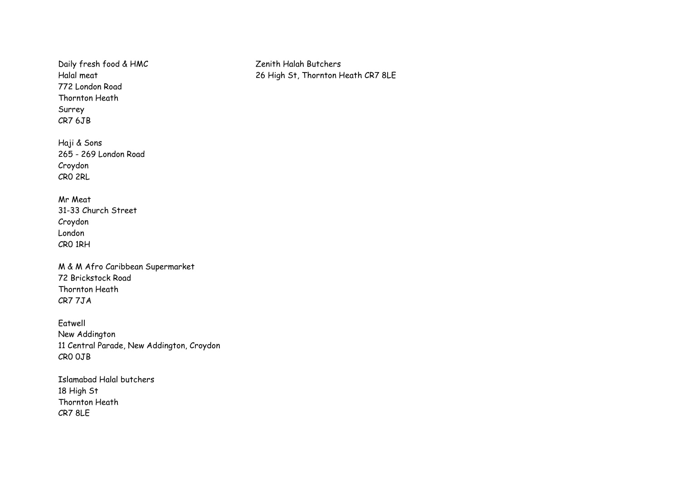Daily fresh food & HMC Halal meat 772 London Road Thornton Heath Surrey CR7 6JB

Haji & Sons 265 - 269 London Road Croydon CR0 2RL

Mr Meat 31-33 Church Street Croydon London CR0 1RH

M & M Afro Caribbean Supermarket 72 Brickstock Road Thornton Heath CR7 7JA

Eatwell New Addington 11 Central Parade, New Addington, Croydon CR0 0JB

Islamabad Halal butchers 18 High St Thornton Heath CR7 8LE

Zenith Halah Butchers 26 High St, Thornton Heath CR7 8LE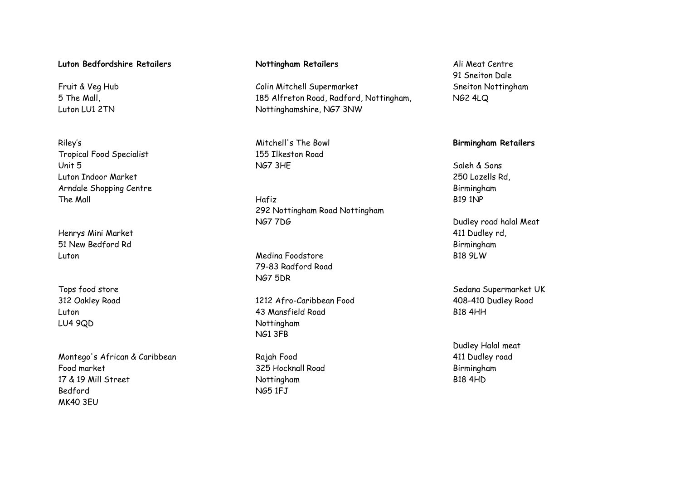## **Luton Bedfordshire Retailers**

Fruit & Veg Hub 5 The Mall, Luton LU1 2TN

Riley's Tropical Food Specialist Unit 5 Luton Indoor Market Arndale Shopping Centre The Mall

Henrys Mini Market 51 New Bedford Rd Luton

Tops food store 312 Oakley Road Luton LU4 9QD

Montego's African & Caribbean Food market 17 & 19 Mill Street Bedford MK40 3EU

## **Nottingham Retailers**

Colin Mitchell Supermarket 185 Alfreton Road, Radford, Nottingham, Nottinghamshire, NG7 3NW

Mitchell's The Bowl 155 Ilkeston Road NG7 3HE

Hafiz 292 Nottingham Road Nottingham NG7 7DG

Medina Foodstore 79-83 Radford Road NG7 5DR

1212 Afro-Caribbean Food 43 Mansfield Road Nottingham NG1 3FB

Rajah Food 325 Hocknall Road Nottingham NG5 1FJ

Ali Meat Centre 91 Sneiton Dale Sneiton Nottingham NG2 4LQ

## **Birmingham Retailers**

Saleh & Sons 250 Lozells Rd, Birmingham B19 1NP

Dudley road halal Meat 411 Dudley rd, Birmingham B18 9LW

Sedana Supermarket UK 408-410 Dudley Road B18 4HH

Dudley Halal meat 411 Dudley road Birmingham B18 4HD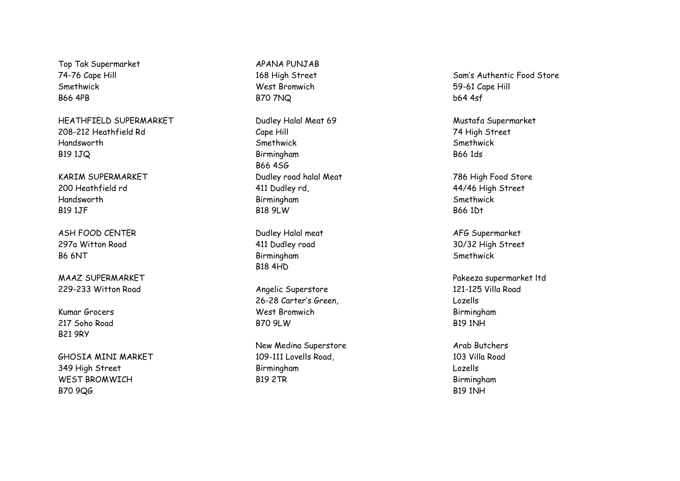Top Tak Supermarket 74 -76 Cape Hill Smethwick B66 4PB

HEATHFIELD SUPERMARKET 208 -212 Heathfield Rd Handsworth B19 1JQ

KARIM SUPERMARKET 200 Heathfield rd Handsworth B19 1JF

ASH FOOD CENTER 297a Witton Road B6 6NT

MAAZ SUPERMARKET 229 -233 Witton Road

Kumar Grocers 217 Soho Road B21 9RY

GHOSIA MINI MARKET 349 High Street WEST BROMWICH B70 9QG

APANA PUNJAB 168 High Street West Bromwich B70 7NQ

Dudley Halal Meat 69 Cape Hill Smethwick Birmingham B66 4SG Dudley road halal Meat 411 Dudley rd, Birmingham B18 9LW

Dudley Halal meat 411 Dudley road Birmingham B18 4HD

Angelic Superstore 26-28 Carter's Green, West Bromwich B70 9LW

New Medina Superstore 109 -111 Lovells Road, Birmingham B19 2TR

Sam's Authentic Food Store 59 -61 Cape Hill b64 4sf

Mustafa Supermarket 74 High Street Smethwick B66 1ds

786 High Food Store 44/46 High Street Smethwick B66 1Dt

AFG Supermarket 30/32 High Street Smethwick

Pakeeza supermarket ltd 121 -125 Villa Road Lozells Birmingham B19 1NH

Arab Butchers 103 Villa Road Lozells Birmingham B19 1NH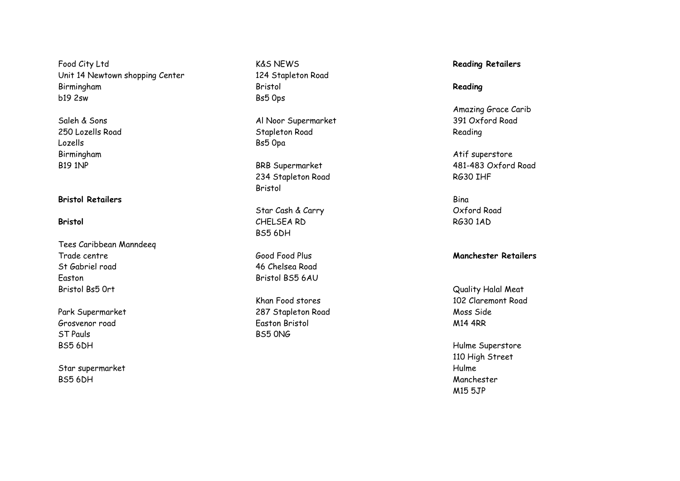Food City Ltd Unit 14 Newtown shopping Center Birmingham b19 2sw

Saleh & Sons 250 Lozells Road Lozells Birmingham B19 1NP

## **Bristol Retailers**

#### **Bristol**

Tees Caribbean Manndeeq Trade centre St Gabriel road Easton Bristol Bs5 0rt

Park Supermarket Grosvenor road ST Pauls BS5 6DH

Star supermarket BS5 6DH

K&S NEWS 124 Stapleton Road Bristol Bs5 0ps

Al Noor Supermarket Stapleton Road Bs5 0pa

BRB Supermarket 234 Stapleton Road Bristol

Star Cash & Carry CHELSEA RD BS5 6DH

Good Food Plus 46 Chelsea Road Bristol BS5 6AU

Khan Food stores 287 Stapleton Road Easton Bristol BS5 0NG

## **Reading Retailers**

### **Reading**

Amazing Grace Carib 391 Oxford Road Reading

Atif superstore 481 -483 Oxford Road RG30 IHF

Bina Oxford Road RG30 1AD

#### **Manchester Retailers**

Quality Halal Meat 102 Claremont Road Moss Side M14 4RR

Hulme Superstore 110 High Street Hulme Manchester M15 5JP